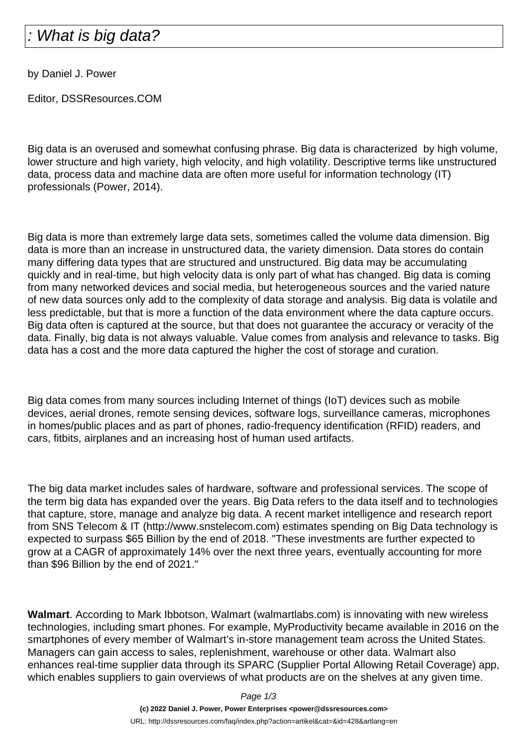## What is big data?

by Daniel J. Power

Editor, DSSResources.COM

Big data is an overused and somewhat confusing phrase. Big data is characterized by high volume, lower structure and high variety, high velocity, and high volatility. Descriptive terms like unstructured data, process data and machine data are often more useful for information technology (IT) professionals (Power, 2014).

Big data is more than extremely large data sets, sometimes called the volume data dimension. Big data is more than an increase in unstructured data, the variety dimension. Data stores do contain many differing data types that are structured and unstructured. Big data may be accumulating quickly and in real-time, but high velocity data is only part of what has changed. Big data is coming from many networked devices and social media, but heterogeneous sources and the varied nature of new data sources only add to the complexity of data storage and analysis. Big data is volatile and less predictable, but that is more a function of the data environment where the data capture occurs. Big data often is captured at the source, but that does not guarantee the accuracy or veracity of the data. Finally, big data is not always valuable. Value comes from analysis and relevance to tasks. Big data has a cost and the more data captured the higher the cost of storage and curation.

Big data comes from many sources including Internet of things (IoT) devices such as mobile devices, aerial drones, remote sensing devices, software logs, surveillance cameras, microphones in homes/public places and as part of phones, radio-frequency identification (RFID) readers, and cars, fitbits, airplanes and an increasing host of human used artifacts.

The big data market includes sales of hardware, software and professional services. The scope of the term big data has expanded over the years. Big Data refers to the data itself and to technologies that capture, store, manage and analyze big data. A recent market intelligence and research report from SNS Telecom & IT (http://www.snstelecom.com) estimates spending on Big Data technology is expected to surpass \$65 Billion by the end of 2018. "These investments are further expected to grow at a CAGR of approximately 14% over the next three years, eventually accounting for more than \$96 Billion by the end of 2021."

**Walmart**. According to Mark Ibbotson, Walmart (walmartlabs.com) is innovating with new wireless technologies, including smart phones. For example, MyProductivity became available in 2016 on the smartphones of every member of Walmart's in-store management team across the United States. Managers can gain access to sales, replenishment, warehouse or other data. Walmart also enhances real-time supplier data through its SPARC (Supplier Portal Allowing Retail Coverage) app, which enables suppliers to gain overviews of what products are on the shelves at any given time.

Page 1/3

**(c) 2022 Daniel J. Power, Power Enterprises <power@dssresources.com>** URL: http://dssresources.com/faq/index.php?action=artikel&cat=&id=428&artlang=en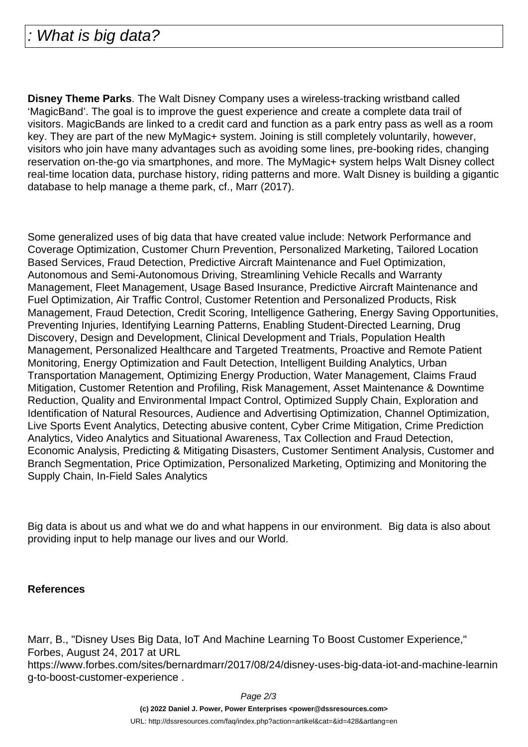**Disney Theme Parks**. The Walt Disney Company uses a wireless-tracking wristband called 'MagicBand'. The goal is to improve the guest experience and create a complete data trail of visitors. MagicBands are linked to a credit card and function as a park entry pass as well as a room key. They are part of the new MyMagic+ system. Joining is still completely voluntarily, however, visitors who join have many advantages such as avoiding some lines, pre-booking rides, changing reservation on-the-go via smartphones, and more. The MyMagic+ system helps Walt Disney collect real-time location data, purchase history, riding patterns and more. Walt Disney is building a gigantic database to help manage a theme park, cf., Marr (2017).

Some generalized uses of big data that have created value include: Network Performance and Coverage Optimization, Customer Churn Prevention, Personalized Marketing, Tailored Location Based Services, Fraud Detection, Predictive Aircraft Maintenance and Fuel Optimization, Autonomous and Semi-Autonomous Driving, Streamlining Vehicle Recalls and Warranty Management, Fleet Management, Usage Based Insurance, Predictive Aircraft Maintenance and Fuel Optimization, Air Traffic Control, Customer Retention and Personalized Products, Risk Management, Fraud Detection, Credit Scoring, Intelligence Gathering, Energy Saving Opportunities, Preventing Injuries, Identifying Learning Patterns, Enabling Student-Directed Learning, Drug Discovery, Design and Development, Clinical Development and Trials, Population Health Management, Personalized Healthcare and Targeted Treatments, Proactive and Remote Patient Monitoring, Energy Optimization and Fault Detection, Intelligent Building Analytics, Urban Transportation Management, Optimizing Energy Production, Water Management, Claims Fraud Mitigation, Customer Retention and Profiling, Risk Management, Asset Maintenance & Downtime Reduction, Quality and Environmental Impact Control, Optimized Supply Chain, Exploration and Identification of Natural Resources, Audience and Advertising Optimization, Channel Optimization, Live Sports Event Analytics, Detecting abusive content, Cyber Crime Mitigation, Crime Prediction Analytics, Video Analytics and Situational Awareness, Tax Collection and Fraud Detection, Economic Analysis, Predicting & Mitigating Disasters, Customer Sentiment Analysis, Customer and Branch Segmentation, Price Optimization, Personalized Marketing, Optimizing and Monitoring the Supply Chain, In-Field Sales Analytics

Big data is about us and what we do and what happens in our environment. Big data is also about providing input to help manage our lives and our World.

## **References**

Marr, B., "Disney Uses Big Data, IoT And Machine Learning To Boost Customer Experience," Forbes, August 24, 2017 at URL https://www.forbes.com/sites/bernardmarr/2017/08/24/disney-uses-big-data-iot-and-machine-learnin g-to-boost-customer-experience .

Page 2/3

**(c) 2022 Daniel J. Power, Power Enterprises <power@dssresources.com>**

URL: http://dssresources.com/faq/index.php?action=artikel&cat=&id=428&artlang=en